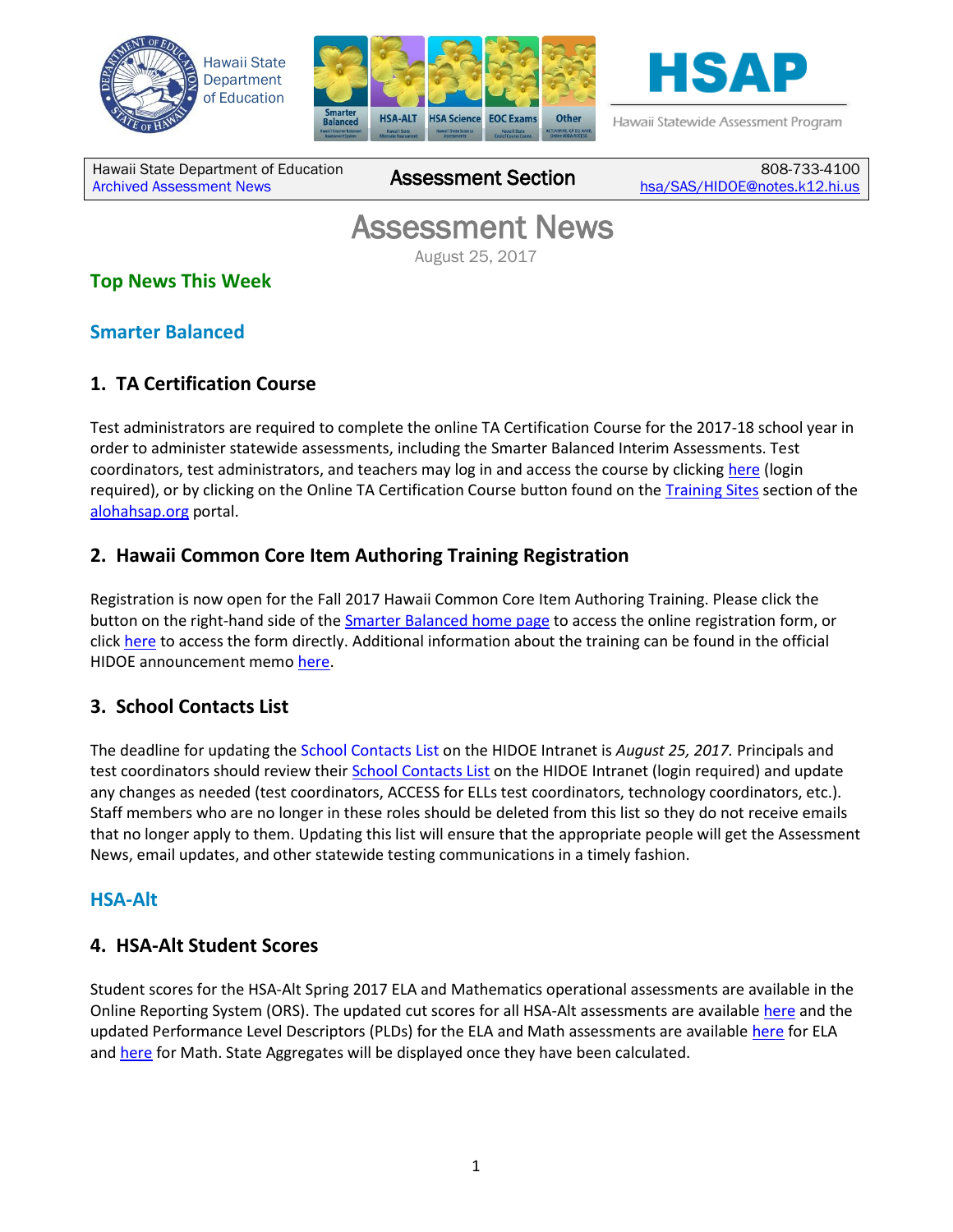





Hawaii Statewide Assessment Program

Hawaii State Department of Education **Assessment News** Assessment Section

808-733-4100 [hsa/SAS/HIDOE@notes.k12.hi.us](mailto:hsa/SAS/HIDOE@notes.k12.hi.us)

# Assessment News

August 25, 2017

# **Top News This Week**

### **Smarter Balanced**

# **1. TA Certification Course**

Test administrators are required to complete the online TA Certification Course for the 2017-18 school year in order to administer statewide assessments, including the Smarter Balanced Interim Assessments. Test coordinators, test administrators, and teachers may log in and access the course by clicking [here](https://hi.sso.airast.org/auth/XUI/#login/&realm=/hawaii&forward=true&spEntityID=SP_HAWAII_TATRAINING_PROD&goto=%2FSSORedirect%2FmetaAlias%2Fhawaii%2Fidp%3FReqID%3DS24DD8C212A750F157014A8D4563457C3F2B10F9AF%26index%3Dnull%26acsURL%3Dhttps%253A%252F%252Fta-cert.airast.org%252Fhawaii%252Fauth) (login required), or by clicking on the Online TA Certification Course button found on the [Training Sites](http://alohahsap.org/SMARTERBALANCED/training-sites/) section of the [alohahsap.org](http://alohahsap.org/) portal.

## **2. Hawaii Common Core Item Authoring Training Registration**

Registration is now open for the Fall 2017 Hawaii Common Core Item Authoring Training. Please click the button on the right-hand side of the *Smarter Balanced home page* to access the online registration form, or click [here](https://events.r20.constantcontact.com/register/eventReg?oeidk=a07eeg1ewf8ea71d9bf&oseq=&c=&ch=) to access the form directly. Additional information about the training can be found in the official HIDOE announcement memo [here.](http://alohahsap.org/SMARTERBALANCED/wp-content/uploads/Memo_Hawaii-Common-Core-Item-Authoring-Training_081717.pdf)

## **3. School Contacts List**

The deadline for updating the School Contacts List on the HIDOE Intranet is *August 25, 2017.* Principals and test coordinators should review their [School Contacts List](https://intranet.hawaiipublicschools.org/offices/osip/aa/Pages/SchoolContacts.aspx) on the HIDOE Intranet (login required) and update any changes as needed (test coordinators, ACCESS for ELLs test coordinators, technology coordinators, etc.). Staff members who are no longer in these roles should be deleted from this list so they do not receive emails that no longer apply to them. Updating this list will ensure that the appropriate people will get the Assessment News, email updates, and other statewide testing communications in a timely fashion.

#### **HSA-Alt**

#### **4. HSA-Alt Student Scores**

Student scores for the HSA-Alt Spring 2017 ELA and Mathematics operational assessments are available in the Online Reporting System (ORS). The updated cut scores for all HSA-Alt assessments are availabl[e here](http://alohahsap.org/HSA_ALT/wp-content/uploads/2017/07/HSA-Alt-Scale-Score-Ranges_073117.pdf) and the updated Performance Level Descriptors (PLDs) for the ELA and Math assessments are available [here](http://alohahsap.org/HSA_ALT/wp-content/uploads/2017/07/HSA-Alt-ELA-PLDs_062917.pdf) for ELA and [here](http://alohahsap.org/HSA_ALT/wp-content/uploads/2017/07/HSA-Alt-Math-PLDs_062917.pdf) for Math. State Aggregates will be displayed once they have been calculated.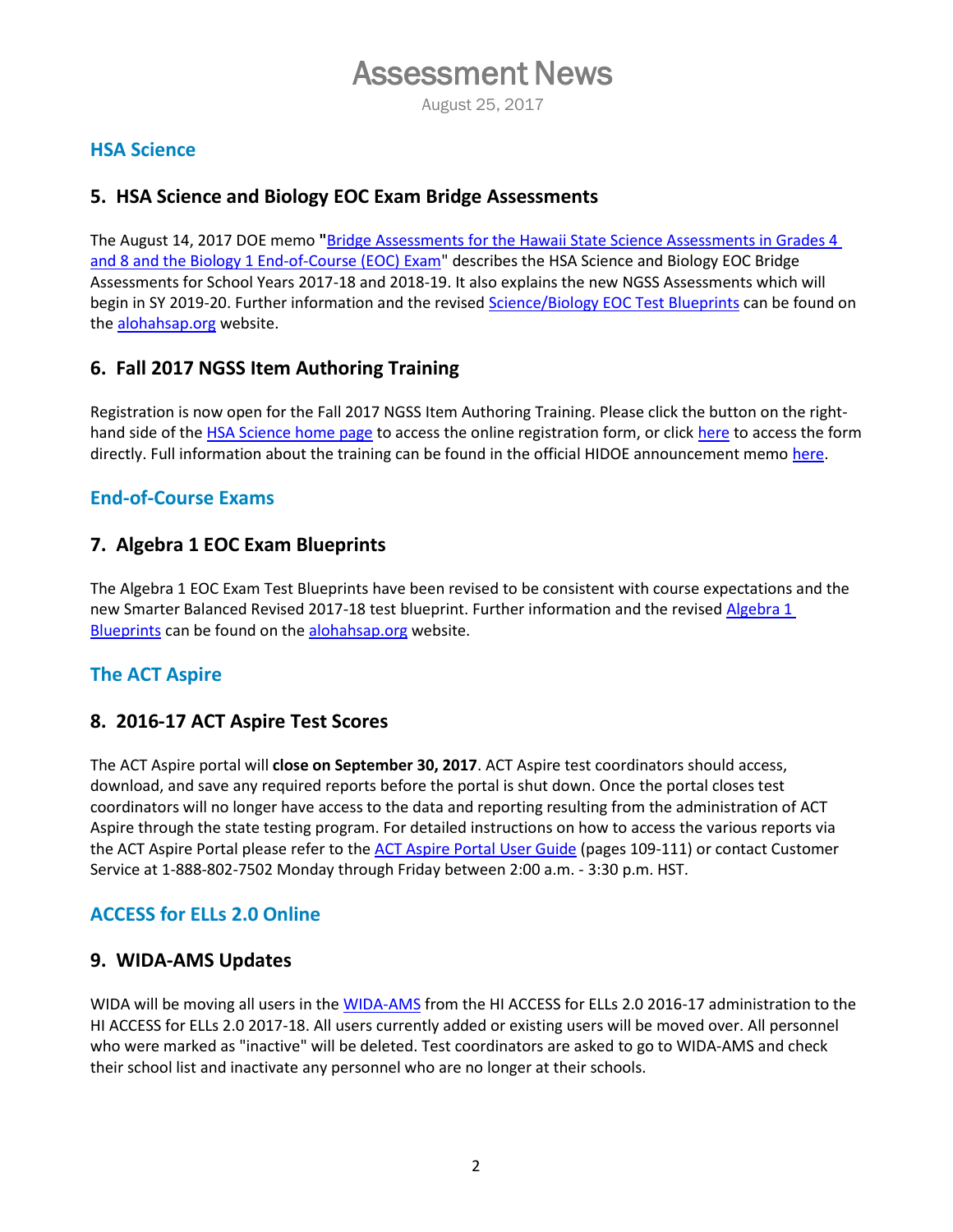# Assessment News

August 25, 2017

#### **HSA Science**

#### **5. HSA Science and Biology EOC Exam Bridge Assessments**

The August 14, 2017 DOE memo **"**[Bridge Assessments for the Hawaii State Science Assessments in Grades 4](http://alohahsap.org/HSA/wp-content/uploads/2017/08/Memo_NGSS-Bridge-Assessments_081417.pdf)  [and 8 and the Biology 1 End-of-Course \(EOC\) Exam"](http://alohahsap.org/HSA/wp-content/uploads/2017/08/Memo_NGSS-Bridge-Assessments_081417.pdf) describes the HSA Science and Biology EOC Bridge Assessments for School Years 2017-18 and 2018-19. It also explains the new NGSS Assessments which will begin in SY 2019-20. Further information and the revised [Science/Biology EOC Test Blueprints](http://alohahsap.org/HSA/wp-content/uploads/2017/07/Science_Blueprints-for-Bridge.pdf) can be found on the [alohahsap.org](http://alohahsap.org/) website.

#### **6. Fall 2017 NGSS Item Authoring Training**

Registration is now open for the Fall 2017 NGSS Item Authoring Training. Please click the button on the righthand side of th[e HSA Science](http://alohahsap.org/HSA/) home page to access the online registration form, or click [here](http://events.constantcontact.com/register/event?llr=zuii4ejab&oeidk=a07eegg6wm8c4fe9547) to access the form directly. Full information about the training can be found in the official HIDOE announcement memo [here.](http://alohahsap.org/HSA/wp-content/uploads/2017/08/Memo_NGSS-Item-Authoring-Training_081717.pdf)

#### **End-of-Course Exams**

#### **7. Algebra 1 EOC Exam Blueprints**

The Algebra 1 EOC Exam Test Blueprints have been revised to be consistent with course expectations and the new Smarter Balanced Revised 2017-18 test blueprint. Further information and the revise[d Algebra 1](http://alohahsap.org/EOC/wp-content/uploads/2017/08/HI_EOC_AlgebraI_Blueprint_Revised_080117.pdf)  [Blueprints](http://alohahsap.org/EOC/wp-content/uploads/2017/08/HI_EOC_AlgebraI_Blueprint_Revised_080117.pdf) can be found on th[e alohahsap.org](http://alohahsap.org/) website.

#### **The ACT Aspire**

#### **8. 2016-17 ACT Aspire Test Scores**

The ACT Aspire portal will **close on September 30, 2017**. ACT Aspire test coordinators should access, download, and save any required reports before the portal is shut down. Once the portal closes test coordinators will no longer have access to the data and reporting resulting from the administration of ACT Aspire through the state testing program. For detailed instructions on how to access the various reports via the ACT Aspire Portal please refer to th[e ACT Aspire Portal User Guide](avocet.pearson.com/hawaiiACTAspire/Home#srDoc=6067&srPage=1) (pages 109-111) or contact Customer Service at 1-888-802-7502 Monday through Friday between 2:00 a.m. - 3:30 p.m. HST.

#### **ACCESS for ELLs 2.0 Online**

#### **9. WIDA-AMS Updates**

WIDA will be moving all users in th[e WIDA-AMS](https://www.drcedirect.com/all/eca-portal-ui/welcome/WIDA) from the HI ACCESS for ELLs 2.0 2016-17 administration to the HI ACCESS for ELLs 2.0 2017-18. All users currently added or existing users will be moved over. All personnel who were marked as "inactive" will be deleted. Test coordinators are asked to go to WIDA-AMS and check their school list and inactivate any personnel who are no longer at their schools.